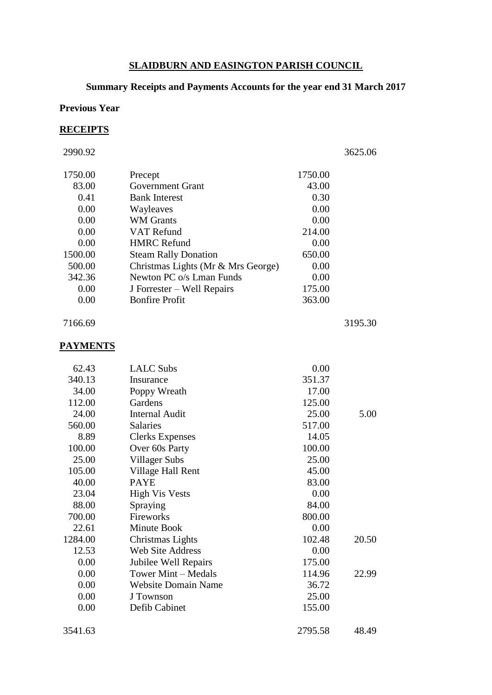### **SLAIDBURN AND EASINGTON PARISH COUNCIL**

# **Summary Receipts and Payments Accounts for the year end 31 March 2017**

### **Previous Year**

### **RECEIPTS**

2990.92 3625.06

| 1750.00 | Precept                            | 1750.00 |  |
|---------|------------------------------------|---------|--|
| 83.00   | Government Grant                   | 43.00   |  |
| 0.41    | <b>Bank Interest</b>               | 0.30    |  |
| 0.00    | Wayleaves                          | 0.00    |  |
| 0.00    | <b>WM</b> Grants                   | 0.00    |  |
| 0.00    | <b>VAT Refund</b>                  | 214.00  |  |
| 0.00    | <b>HMRC Refund</b>                 | 0.00    |  |
| 1500.00 | <b>Steam Rally Donation</b>        | 650.00  |  |
| 500.00  | Christmas Lights (Mr & Mrs George) | 0.00    |  |
| 342.36  | Newton PC o/s Lman Funds           | 0.00    |  |
| 0.00    | J Forrester – Well Repairs         | 175.00  |  |
| 0.00    | <b>Bonfire Profit</b>              | 363.00  |  |
|         |                                    |         |  |

7166.69 3195.30

### **PAYMENTS**

| 62.43   | <b>LALC Subs</b>           | 0.00    |       |
|---------|----------------------------|---------|-------|
| 340.13  | Insurance                  | 351.37  |       |
| 34.00   | Poppy Wreath               | 17.00   |       |
| 112.00  | Gardens                    | 125.00  |       |
| 24.00   | <b>Internal Audit</b>      | 25.00   | 5.00  |
| 560.00  | <b>Salaries</b>            | 517.00  |       |
| 8.89    | <b>Clerks Expenses</b>     | 14.05   |       |
| 100.00  | Over 60s Party             | 100.00  |       |
| 25.00   | Villager Subs              | 25.00   |       |
| 105.00  | Village Hall Rent          | 45.00   |       |
| 40.00   | <b>PAYE</b>                | 83.00   |       |
| 23.04   | <b>High Vis Vests</b>      | 0.00    |       |
| 88.00   | Spraying                   | 84.00   |       |
| 700.00  | Fireworks                  | 800.00  |       |
| 22.61   | Minute Book                | 0.00    |       |
| 1284.00 | Christmas Lights           | 102.48  | 20.50 |
| 12.53   | <b>Web Site Address</b>    | 0.00    |       |
| 0.00    | Jubilee Well Repairs       | 175.00  |       |
| 0.00    | Tower Mint – Medals        | 114.96  | 22.99 |
| 0.00    | <b>Website Domain Name</b> | 36.72   |       |
| 0.00    | J Townson                  | 25.00   |       |
| 0.00    | Defib Cabinet              | 155.00  |       |
| 3541.63 |                            | 2795.58 | 48.49 |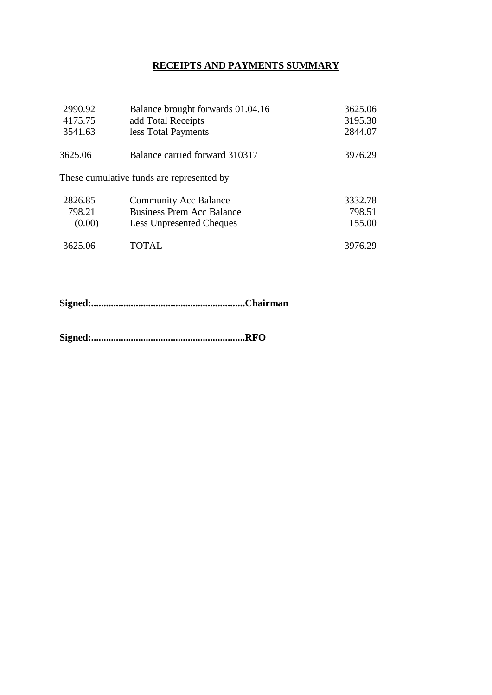### **RECEIPTS AND PAYMENTS SUMMARY**

| 2990.92 | Balance brought forwards 01.04.16         | 3625.06 |
|---------|-------------------------------------------|---------|
| 4175.75 | add Total Receipts                        | 3195.30 |
| 3541.63 | less Total Payments                       | 2844.07 |
| 3625.06 | Balance carried forward 310317            | 3976.29 |
|         | These cumulative funds are represented by |         |
| 2826.85 | <b>Community Acc Balance</b>              | 3332.78 |
| 798.21  | <b>Business Prem Acc Balance</b>          | 798.51  |
| (0.00)  | <b>Less Unpresented Cheques</b>           | 155.00  |
| 3625.06 | TOTAL                                     | 3976.29 |

**Signed:..............................................................Chairman**

**Signed:..............................................................RFO**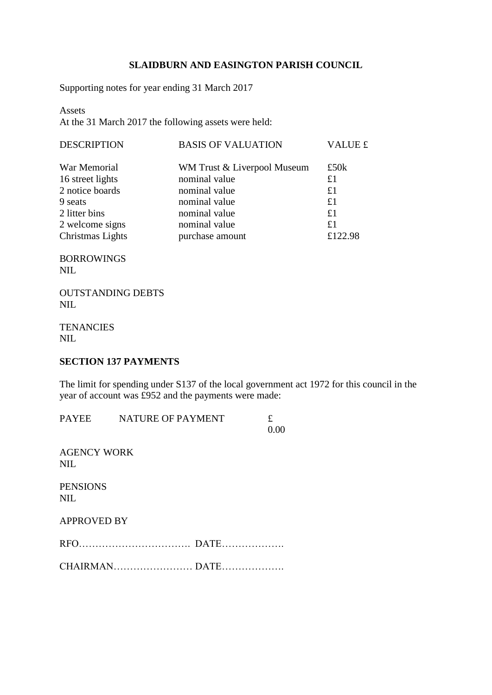#### **SLAIDBURN AND EASINGTON PARISH COUNCIL**

Supporting notes for year ending 31 March 2017

Assets At the 31 March 2017 the following assets were held:

| <b>BASIS OF VALUATION</b>   | <b>VALUE £</b> |
|-----------------------------|----------------|
| WM Trust & Liverpool Museum | £50 $k$        |
| nominal value               | £1             |
| nominal value               | £1             |
| nominal value               | £1             |
| nominal value               | £1             |
| nominal value               | £1             |
| purchase amount             | £122.98        |
|                             |                |

BORROWINGS NIL

OUTSTANDING DEBTS NIL

**TENANCIES** NIL

#### **SECTION 137 PAYMENTS**

The limit for spending under S137 of the local government act 1972 for this council in the year of account was £952 and the payments were made:

|                                  | PAYEE NATURE OF PAYMENT | £<br>0.00 |
|----------------------------------|-------------------------|-----------|
| <b>AGENCY WORK</b><br><b>NIL</b> |                         |           |
| <b>PENSIONS</b><br><b>NIL</b>    |                         |           |
| <b>APPROVED BY</b>               |                         |           |
|                                  |                         |           |
|                                  |                         |           |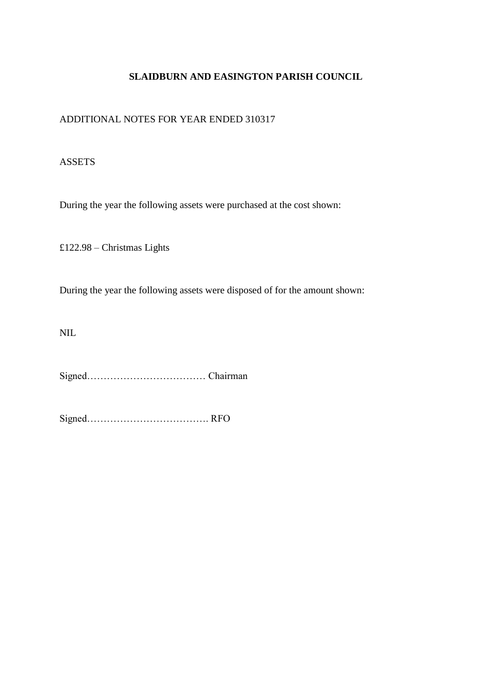#### **SLAIDBURN AND EASINGTON PARISH COUNCIL**

#### ADDITIONAL NOTES FOR YEAR ENDED 310317

#### ASSETS

During the year the following assets were purchased at the cost shown:

£122.98 – Christmas Lights

During the year the following assets were disposed of for the amount shown:

NIL

Signed……………………………… Chairman

Signed………………………………. RFO